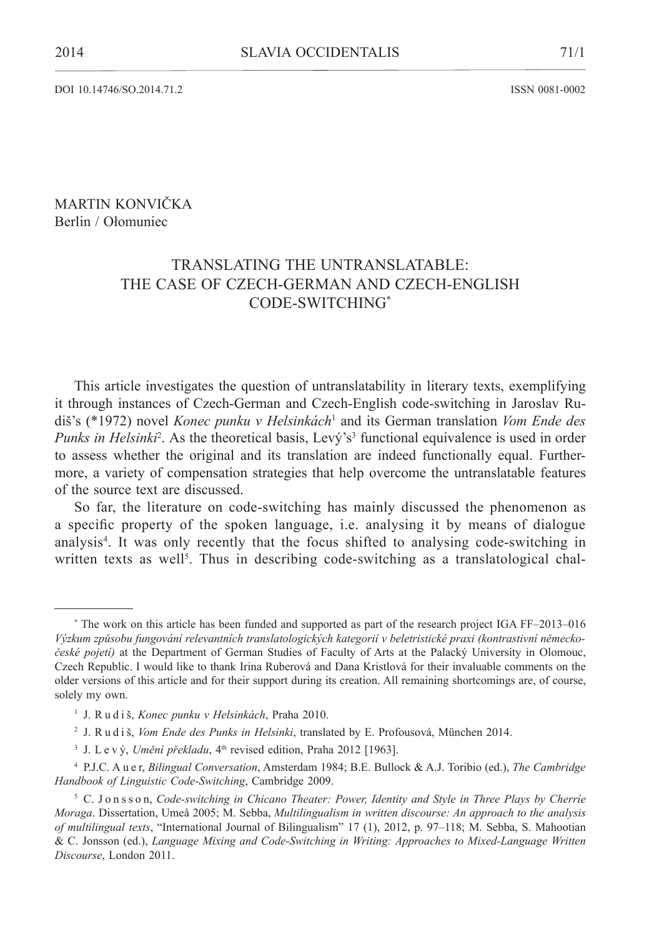DOI 10.14746/SO.2014.71.2 ISSN 0081-0002

## Martin Konvička Berlin / Ołomuniec

# Translating the Untranslatable: The Case of Czech-German and Czech-English Code-switching\*

This article investigates the question of untranslatability in literary texts, exemplifying it through instances of Czech-German and Czech-English code-switching in Jaroslav Rudiš's (\*1972) novel *Konec punku v Helsinkách*<sup>1</sup> and its German translation *Vom Ende des*  Punks in Helsinki<sup>2</sup>. As the theoretical basis, Levý's<sup>3</sup> functional equivalence is used in order to assess whether the original and its translation are indeed functionally equal. Furthermore, a variety of compensation strategies that help overcome the untranslatable features of the source text are discussed.

So far, the literature on code-switching has mainly discussed the phenomenon as a specific property of the spoken language, i.e. analysing it by means of dialogue analysis<sup>4</sup>. It was only recently that the focus shifted to analysing code-switching in written texts as well<sup>5</sup>. Thus in describing code-switching as a translatological chal-

<sup>\*</sup> The work on this article has been funded and supported as part of the research project IGA FF–2013–016 *Výzkum způsobu fungování relevantních translatologických kategorií v beletristické praxi (kontrastivní německočeské pojetí)* at the Department of German Studies of Faculty of Arts at the Palacký University in Olomouc, Czech Republic. I would like to thank Irina Ruberová and Dana Kristlová for their invaluable comments on the older versions of this article and for their support during its creation. All remaining shortcomings are, of course, solely my own.

<sup>1</sup> J. R u d i š, *Konec punku v Helsinkách*, Praha 2010.

<sup>2</sup> J. R u d i š, *Vom Ende des Punks in Helsinki*, translated by E. Profousová, München 2014.

<sup>&</sup>lt;sup>3</sup> J. L e v ý, *Umění překladu*, 4<sup>th</sup> revised edition, Praha 2012 [1963].

<sup>4</sup> P.J.C. A u e r, *Bilingual Conversation*, Amsterdam 1984; B.E. Bullock & A.J. Toribio (ed.), *The Cambridge Handbook of Linguistic Code-Switching*, Cambridge 2009.

<sup>5</sup> C. J o n s s o n, *Code-switching in Chicano Theater: Power, Identity and Style in Three Plays by Cherríe Moraga*. Dissertation, Umeå 2005; M. Sebba, *Multilingualism in written discourse: An approach to the analysis of multilingual texts*, "International Journal of Bilingualism" 17 (1), 2012, p. 97–118; M. Sebba, S. Mahootian & C. Jonsson (ed.), *Language Mixing and Code-Switching in Writing: Approaches to Mixed-Language Written Discourse*, London 2011.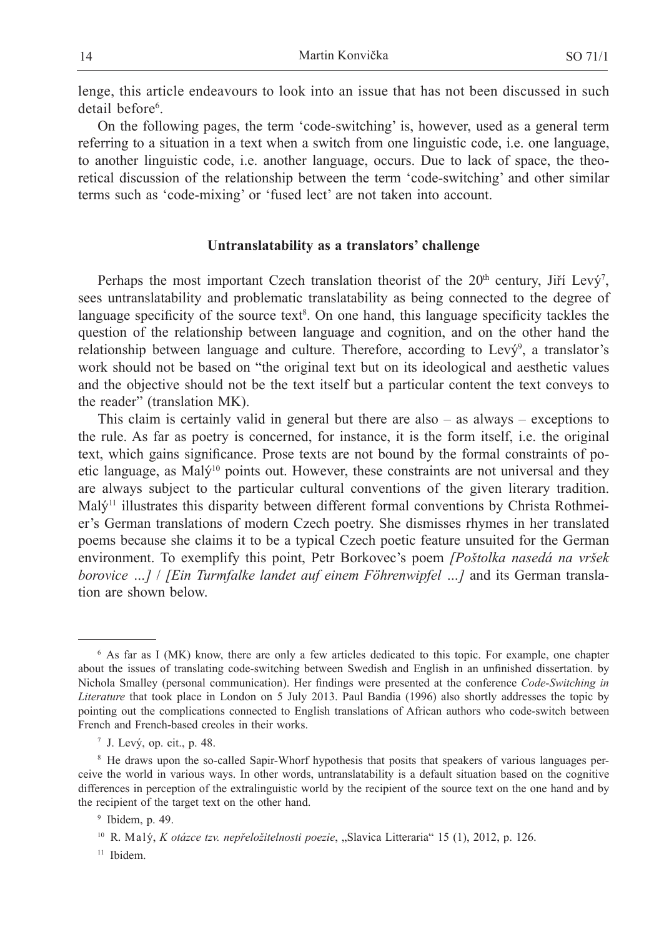lenge, this article endeavours to look into an issue that has not been discussed in such detail before<sup>6</sup>.

On the following pages, the term 'code-switching' is, however, used as a general term referring to a situation in a text when a switch from one linguistic code, i.e. one language, to another linguistic code, i.e. another language, occurs. Due to lack of space, the theoretical discussion of the relationship between the term 'code-switching' and other similar terms such as 'code-mixing' or 'fused lect' are not taken into account.

### **Untranslatability as a translators' challenge**

Perhaps the most important Czech translation theorist of the  $20<sup>th</sup>$  century, Jiří Levý<sup>7</sup>, sees untranslatability and problematic translatability as being connected to the degree of language specificity of the source text<sup>8</sup>. On one hand, this language specificity tackles the question of the relationship between language and cognition, and on the other hand the relationship between language and culture. Therefore, according to Levy<sup>9</sup>, a translator's work should not be based on "the original text but on its ideological and aesthetic values and the objective should not be the text itself but a particular content the text conveys to the reader" (translation MK).

This claim is certainly valid in general but there are also  $-$  as always  $-$  exceptions to the rule. As far as poetry is concerned, for instance, it is the form itself, i.e. the original text, which gains significance. Prose texts are not bound by the formal constraints of poetic language, as Malý<sup>10</sup> points out. However, these constraints are not universal and they are always subject to the particular cultural conventions of the given literary tradition.  $Mal\dot{v}^{11}$  illustrates this disparity between different formal conventions by Christa Rothmeier's German translations of modern Czech poetry. She dismisses rhymes in her translated poems because she claims it to be a typical Czech poetic feature unsuited for the German environment. To exemplify this point, Petr Borkovec's poem *[Poštolka nasedá na vršek borovice …]* / *[Ein Turmfalke landet auf einem Föhrenwipfel …]* and its German translation are shown below.

<sup>6</sup> As far as I (MK) know, there are only a few articles dedicated to this topic. For example, one chapter about the issues of translating code-switching between Swedish and English in an unfinished dissertation. by Nichola Smalley (personal communication). Her findings were presented at the conference *Code-Switching in Literature* that took place in London on 5 July 2013. Paul Bandia (1996) also shortly addresses the topic by pointing out the complications connected to English translations of African authors who code-switch between French and French-based creoles in their works.

 $<sup>7</sup>$  J. Levý, op. cit., p. 48.</sup>

<sup>&</sup>lt;sup>8</sup> He draws upon the so-called Sapir-Whorf hypothesis that posits that speakers of various languages perceive the world in various ways. In other words, untranslatability is a default situation based on the cognitive differences in perception of the extralinguistic world by the recipient of the source text on the one hand and by the recipient of the target text on the other hand.

<sup>9</sup> Ibidem, p. 49.

<sup>&</sup>lt;sup>10</sup> R. Malý, *K otázce tzv. nepřeložitelnosti poezie*, "Slavica Litteraria" 15 (1), 2012, p. 126.

<sup>&</sup>lt;sup>11</sup> Ibidem.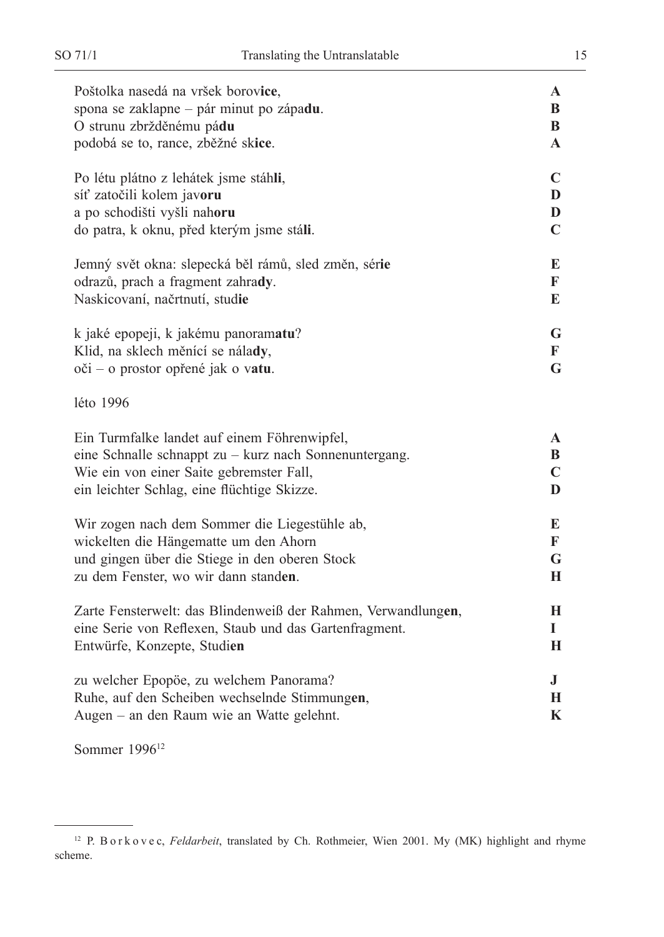| $\mathbf{A}$<br>B<br>B<br>A          |
|--------------------------------------|
| $\mathbf C$<br>D<br>D<br>$\mathbf C$ |
| E<br>F<br>E                          |
| G<br>F<br>G                          |
|                                      |
| A<br>B<br>$\mathbf C$<br>D           |
| E<br>F<br>G<br>H                     |
| H<br>I<br>H                          |
| $\bf J$<br>Н<br>K                    |
|                                      |

Sommer 1996<sup>12</sup>

<sup>&</sup>lt;sup>12</sup> P. B o r k o v e c, *Feldarbeit*, translated by Ch. Rothmeier, Wien 2001. My (MK) highlight and rhyme scheme.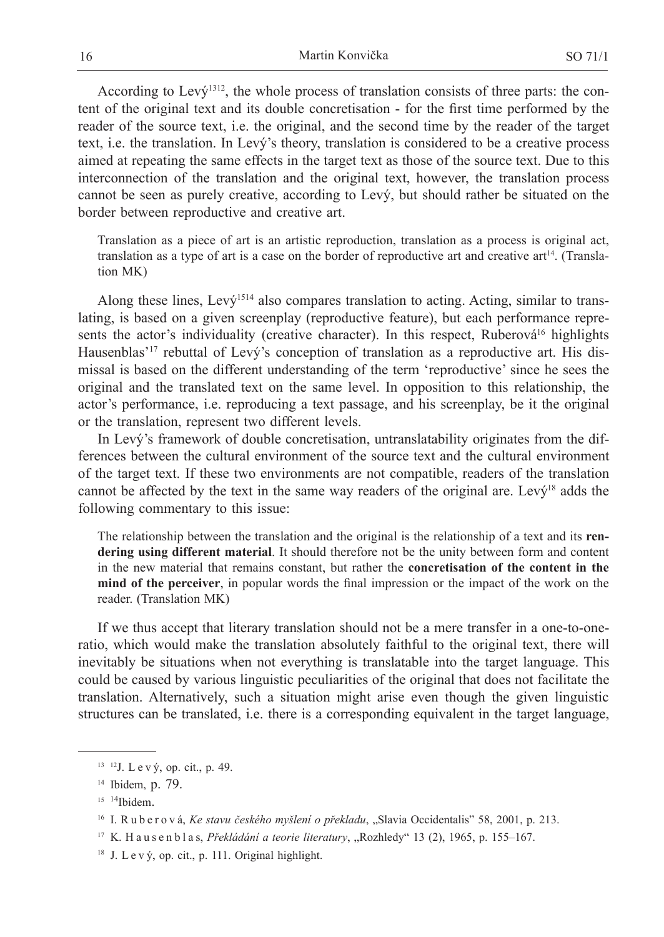According to Lev $\acute{v}^{1312}$ , the whole process of translation consists of three parts: the content of the original text and its double concretisation - for the first time performed by the reader of the source text, i.e. the original, and the second time by the reader of the target text, i.e. the translation. In Levý's theory, translation is considered to be a creative process aimed at repeating the same effects in the target text as those of the source text. Due to this interconnection of the translation and the original text, however, the translation process cannot be seen as purely creative, according to Levý, but should rather be situated on the border between reproductive and creative art.

Translation as a piece of art is an artistic reproduction, translation as a process is original act, translation as a type of art is a case on the border of reproductive art and creative art<sup>14</sup>. (Translation MK)

Along these lines, Levý<sup>1514</sup> also compares translation to acting. Acting, similar to translating, is based on a given screenplay (reproductive feature), but each performance represents the actor's individuality (creative character). In this respect, Ruberová<sup>16</sup> highlights Hausenblas'<sup>17</sup> rebuttal of Levý's conception of translation as a reproductive art. His dismissal is based on the different understanding of the term 'reproductive' since he sees the original and the translated text on the same level. In opposition to this relationship, the actor's performance, i.e. reproducing a text passage, and his screenplay, be it the original or the translation, represent two different levels.

In Levý's framework of double concretisation, untranslatability originates from the differences between the cultural environment of the source text and the cultural environment of the target text. If these two environments are not compatible, readers of the translation cannot be affected by the text in the same way readers of the original are. Levý18 adds the following commentary to this issue:

The relationship between the translation and the original is the relationship of a text and its **rendering using different material**. It should therefore not be the unity between form and content in the new material that remains constant, but rather the **concretisation of the content in the mind of the perceiver**, in popular words the final impression or the impact of the work on the reader. (Translation MK)

If we thus accept that literary translation should not be a mere transfer in a one-to-oneratio, which would make the translation absolutely faithful to the original text, there will inevitably be situations when not everything is translatable into the target language. This could be caused by various linguistic peculiarities of the original that does not facilitate the translation. Alternatively, such a situation might arise even though the given linguistic structures can be translated, i.e. there is a corresponding equivalent in the target language,

<sup>&</sup>lt;sup>13</sup> <sup>12</sup>J. L e v ý, op. cit., p. 49.

<sup>14</sup> Ibidem, p. 79.

 $15 \frac{14}{16}$ Ibidem.

<sup>&</sup>lt;sup>16</sup> I. R u b e r o v á, *Ke stavu českého myšlení o překladu*, "Slavia Occidentalis" 58, 2001, p. 213.

<sup>&</sup>lt;sup>17</sup> K. H a u s e n b l a s, *Překládání a teorie literatury*, "Rozhledy" 13 (2), 1965, p. 155–167.

 $18$  J. L e v  $\dot{V}$ , op. cit., p. 111. Original highlight.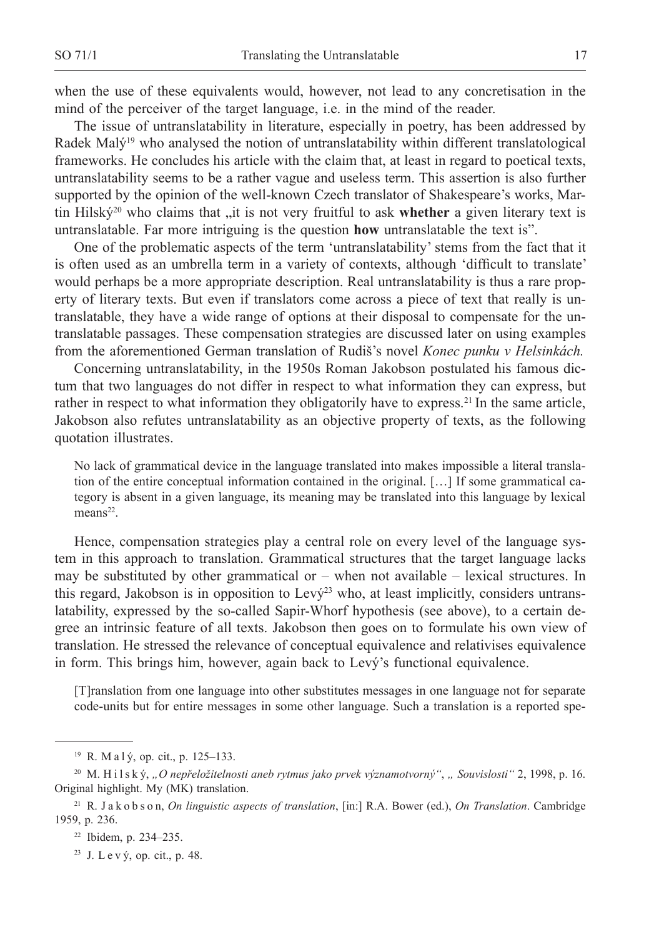when the use of these equivalents would, however, not lead to any concretisation in the mind of the perceiver of the target language, i.e. in the mind of the reader.

The issue of untranslatability in literature, especially in poetry, has been addressed by Radek Malý<sup>19</sup> who analysed the notion of untranslatability within different translatological frameworks. He concludes his article with the claim that, at least in regard to poetical texts, untranslatability seems to be a rather vague and useless term. This assertion is also further supported by the opinion of the well-known Czech translator of Shakespeare's works, Martin Hilský<sup>20</sup> who claims that "it is not very fruitful to ask whether a given literary text is untranslatable. Far more intriguing is the question **how** untranslatable the text is".

One of the problematic aspects of the term 'untranslatability' stems from the fact that it is often used as an umbrella term in a variety of contexts, although 'difficult to translate' would perhaps be a more appropriate description. Real untranslatability is thus a rare property of literary texts. But even if translators come across a piece of text that really is untranslatable, they have a wide range of options at their disposal to compensate for the untranslatable passages. These compensation strategies are discussed later on using examples from the aforementioned German translation of Rudiš's novel *Konec punku v Helsinkách.*

Concerning untranslatability, in the 1950s Roman Jakobson postulated his famous dictum that two languages do not differ in respect to what information they can express, but rather in respect to what information they obligatorily have to express.<sup>21</sup> In the same article, Jakobson also refutes untranslatability as an objective property of texts, as the following quotation illustrates.

No lack of grammatical device in the language translated into makes impossible a literal translation of the entire conceptual information contained in the original. […] If some grammatical category is absent in a given language, its meaning may be translated into this language by lexical means<sup>22</sup>.

Hence, compensation strategies play a central role on every level of the language system in this approach to translation. Grammatical structures that the target language lacks may be substituted by other grammatical or  $-$  when not available  $-$  lexical structures. In this regard, Jakobson is in opposition to Levý<sup>23</sup> who, at least implicitly, considers untranslatability, expressed by the so-called Sapir-Whorf hypothesis (see above), to a certain degree an intrinsic feature of all texts. Jakobson then goes on to formulate his own view of translation. He stressed the relevance of conceptual equivalence and relativises equivalence in form. This brings him, however, again back to Levý's functional equivalence.

[T]ranslation from one language into other substitutes messages in one language not for separate code-units but for entire messages in some other language. Such a translation is a reported spe-

<sup>&</sup>lt;sup>19</sup> R. Ma<sub>1</sub> ý, op. cit., p. 125–133.

<sup>20</sup> M. H i l s k ý, *"O nepřeložitelnosti aneb rytmus jako prvek významotvorný"*, *" Souvislosti"* 2, 1998, p. 16. Original highlight. My (MK) translation.

<sup>21</sup> R. J a k o b s o n, *On linguistic aspects of translation*, [in:] R.A. Bower (ed.), *On Translation*. Cambridge 1959, p. 236.

<sup>22</sup> Ibidem, p. 234–235.

<sup>&</sup>lt;sup>23</sup> J. L e v  $\dot{v}$ , op. cit., p. 48.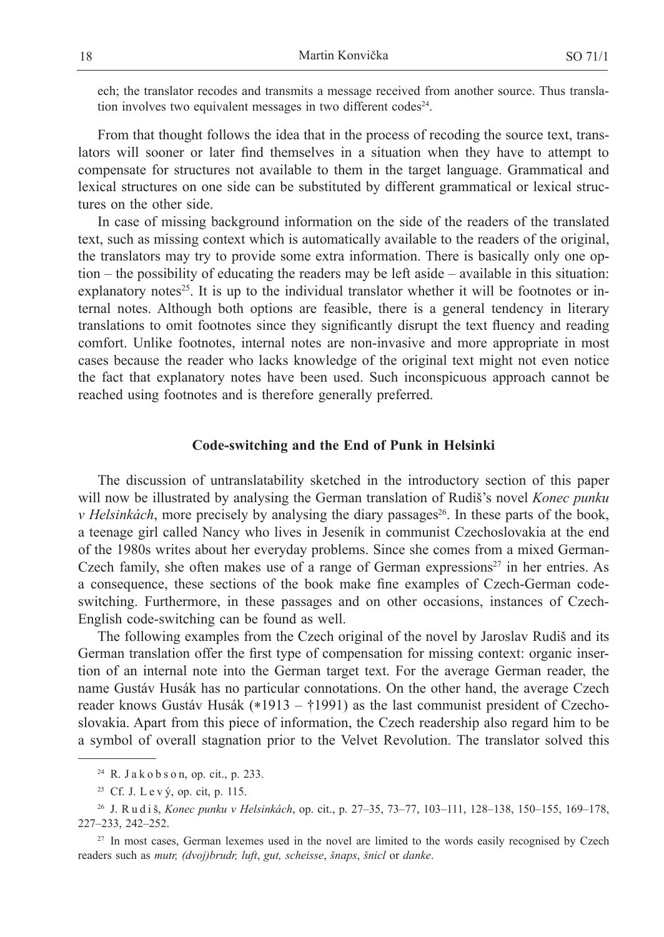ech; the translator recodes and transmits a message received from another source. Thus translation involves two equivalent messages in two different codes<sup>24</sup>.

From that thought follows the idea that in the process of recoding the source text, translators will sooner or later find themselves in a situation when they have to attempt to compensate for structures not available to them in the target language. Grammatical and lexical structures on one side can be substituted by different grammatical or lexical structures on the other side.

In case of missing background information on the side of the readers of the translated text, such as missing context which is automatically available to the readers of the original, the translators may try to provide some extra information. There is basically only one option – the possibility of educating the readers may be left aside – available in this situation: explanatory notes<sup>25</sup>. It is up to the individual translator whether it will be footnotes or internal notes. Although both options are feasible, there is a general tendency in literary translations to omit footnotes since they significantly disrupt the text fluency and reading comfort. Unlike footnotes, internal notes are non-invasive and more appropriate in most cases because the reader who lacks knowledge of the original text might not even notice the fact that explanatory notes have been used. Such inconspicuous approach cannot be reached using footnotes and is therefore generally preferred.

### **Code-switching and the End of Punk in Helsinki**

The discussion of untranslatability sketched in the introductory section of this paper will now be illustrated by analysing the German translation of Rudiš's novel *Konec punku v Helsinkách*, more precisely by analysing the diary passages<sup>26</sup>. In these parts of the book, a teenage girl called Nancy who lives in Jeseník in communist Czechoslovakia at the end of the 1980s writes about her everyday problems. Since she comes from a mixed German-Czech family, she often makes use of a range of German expressions<sup>27</sup> in her entries. As a consequence, these sections of the book make fine examples of Czech-German codeswitching. Furthermore, in these passages and on other occasions, instances of Czech-English code-switching can be found as well.

The following examples from the Czech original of the novel by Jaroslav Rudiš and its German translation offer the first type of compensation for missing context: organic insertion of an internal note into the German target text. For the average German reader, the name Gustáv Husák has no particular connotations. On the other hand, the average Czech reader knows Gustáv Husák (∗1913 – †1991) as the last communist president of Czechoslovakia. Apart from this piece of information, the Czech readership also regard him to be a symbol of overall stagnation prior to the Velvet Revolution. The translator solved this

<sup>24</sup> R. J a k o b s o n, op. cit., p. 233.

<sup>25</sup> Cf. J. L e v ý, op. cit, p. 115.

<sup>26</sup> J. R u d i š, *Konec punku v Helsinkách*, op. cit., p. 27–35, 73–77, 103–111, 128–138, 150–155, 169–178, 227–233, 242–252.

<sup>&</sup>lt;sup>27</sup> In most cases, German lexemes used in the novel are limited to the words easily recognised by Czech readers such as *mutr, (dvoj)brudr, luft*, *gut, scheisse*, *šnaps*, *šnicl* or *danke*.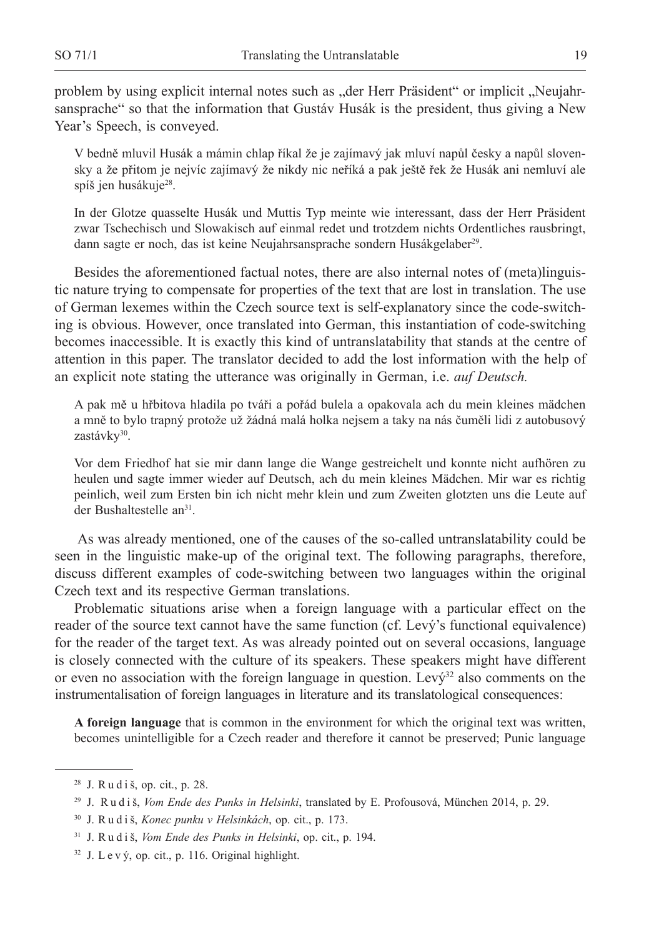problem by using explicit internal notes such as "der Herr Präsident" or implicit "Neujahrsansprache" so that the information that Gustáv Husák is the president, thus giving a New Year's Speech, is conveyed.

V bedně mluvil Husák a mámin chlap říkal že je zajímavý jak mluví napůl česky a napůl slovensky a že přitom je nejvíc zajímavý že nikdy nic neříká a pak ještě řek že Husák ani nemluví ale spíš jen husákuje<sup>28</sup>.

In der Glotze quasselte Husák und Muttis Typ meinte wie interessant, dass der Herr Präsident zwar Tschechisch und Slowakisch auf einmal redet und trotzdem nichts Ordentliches rausbringt, dann sagte er noch, das ist keine Neujahrsansprache sondern Husákgelaber<sup>29</sup>.

Besides the aforementioned factual notes, there are also internal notes of (meta)linguistic nature trying to compensate for properties of the text that are lost in translation. The use of German lexemes within the Czech source text is self-explanatory since the code-switching is obvious. However, once translated into German, this instantiation of code-switching becomes inaccessible. It is exactly this kind of untranslatability that stands at the centre of attention in this paper. The translator decided to add the lost information with the help of an explicit note stating the utterance was originally in German, i.e. *auf Deutsch.*

A pak mě u hřbitova hladila po tváři a pořád bulela a opakovala ach du mein kleines mädchen a mně to bylo trapný protože už žádná malá holka nejsem a taky na nás čuměli lidi z autobusový zastávky30.

Vor dem Friedhof hat sie mir dann lange die Wange gestreichelt und konnte nicht aufhören zu heulen und sagte immer wieder auf Deutsch, ach du mein kleines Mädchen. Mir war es richtig peinlich, weil zum Ersten bin ich nicht mehr klein und zum Zweiten glotzten uns die Leute auf der Bushaltestelle an<sup>31</sup>.

 As was already mentioned, one of the causes of the so-called untranslatability could be seen in the linguistic make-up of the original text. The following paragraphs, therefore, discuss different examples of code-switching between two languages within the original Czech text and its respective German translations.

Problematic situations arise when a foreign language with a particular effect on the reader of the source text cannot have the same function (cf. Levý's functional equivalence) for the reader of the target text. As was already pointed out on several occasions, language is closely connected with the culture of its speakers. These speakers might have different or even no association with the foreign language in question. Levý<sup>32</sup> also comments on the instrumentalisation of foreign languages in literature and its translatological consequences:

**A foreign language** that is common in the environment for which the original text was written, becomes unintelligible for a Czech reader and therefore it cannot be preserved; Punic language

 $28$  J. R u d i š, op. cit., p. 28.

<sup>29</sup> J. R u d i š, *Vom Ende des Punks in Helsinki*, translated by E. Profousová, München 2014, p. 29.

<sup>30</sup> J. R u d i š, *Konec punku v Helsinkách*, op. cit., p. 173.

<sup>31</sup> J. R u d i š, *Vom Ende des Punks in Helsinki*, op. cit., p. 194.

 $32$  J. L e v  $\dot{V}$ , op. cit., p. 116. Original highlight.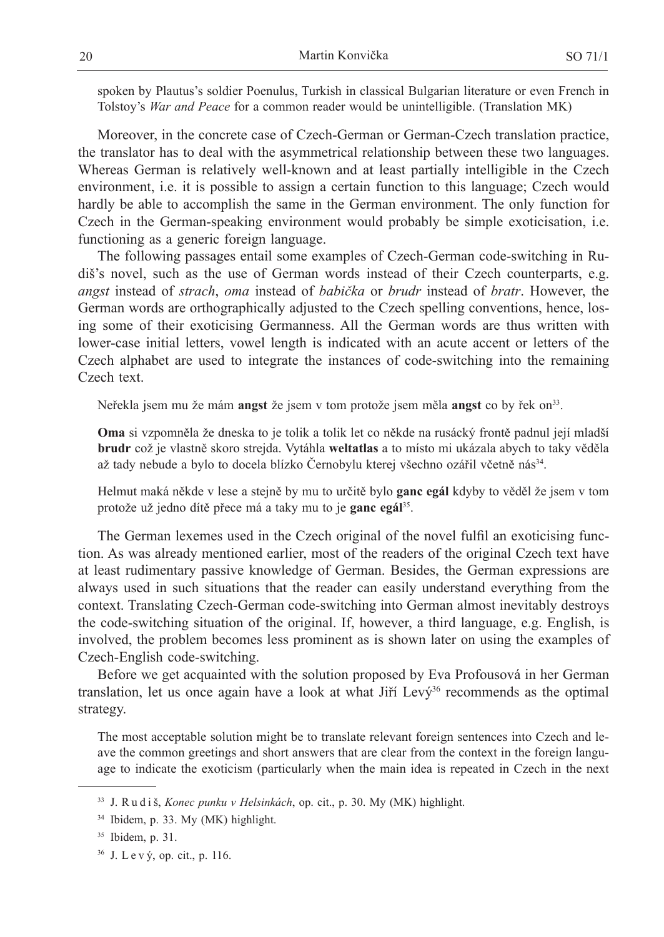spoken by Plautus's soldier Poenulus, Turkish in classical Bulgarian literature or even French in Tolstoy's *War and Peace* for a common reader would be unintelligible. (Translation MK)

Moreover, in the concrete case of Czech-German or German-Czech translation practice, the translator has to deal with the asymmetrical relationship between these two languages. Whereas German is relatively well-known and at least partially intelligible in the Czech environment, i.e. it is possible to assign a certain function to this language; Czech would hardly be able to accomplish the same in the German environment. The only function for Czech in the German-speaking environment would probably be simple exoticisation, i.e. functioning as a generic foreign language.

The following passages entail some examples of Czech-German code-switching in Rudiš's novel, such as the use of German words instead of their Czech counterparts, e.g. *angst* instead of *strach*, *oma* instead of *babička* or *brudr* instead of *bratr*. However, the German words are orthographically adjusted to the Czech spelling conventions, hence, losing some of their exoticising Germanness. All the German words are thus written with lower-case initial letters, vowel length is indicated with an acute accent or letters of the Czech alphabet are used to integrate the instances of code-switching into the remaining Czech text.

Neřekla jsem mu že mám **angst** že jsem v tom protože jsem měla **angst** co by řek on33.

**Oma** si vzpomněla že dneska to je tolik a tolik let co někde na rusácký frontě padnul její mladší **brudr** což je vlastně skoro strejda. Vytáhla **weltatlas** a to místo mi ukázala abych to taky věděla až tady nebude a bylo to docela blízko Černobylu kterej všechno ozářil včetně nás<sup>34</sup>.

Helmut maká někde v lese a stejně by mu to určitě bylo **ganc egál** kdyby to věděl že jsem v tom protože už jedno dítě přece má a taky mu to je **ganc egál**35.

The German lexemes used in the Czech original of the novel fulfil an exoticising function. As was already mentioned earlier, most of the readers of the original Czech text have at least rudimentary passive knowledge of German. Besides, the German expressions are always used in such situations that the reader can easily understand everything from the context. Translating Czech-German code-switching into German almost inevitably destroys the code-switching situation of the original. If, however, a third language, e.g. English, is involved, the problem becomes less prominent as is shown later on using the examples of Czech-English code-switching.

Before we get acquainted with the solution proposed by Eva Profousová in her German translation, let us once again have a look at what Jiří Lev $\acute{v}^{36}$  recommends as the optimal strategy.

The most acceptable solution might be to translate relevant foreign sentences into Czech and leave the common greetings and short answers that are clear from the context in the foreign language to indicate the exoticism (particularly when the main idea is repeated in Czech in the next

<sup>33</sup> J. R u d i š, *Konec punku v Helsinkách*, op. cit., p. 30. My (MK) highlight.

<sup>34</sup> Ibidem, p. 33. My (MK) highlight.

<sup>35</sup> Ibidem, p. 31.

<sup>36</sup> J. L e v ý, op. cit., p. 116.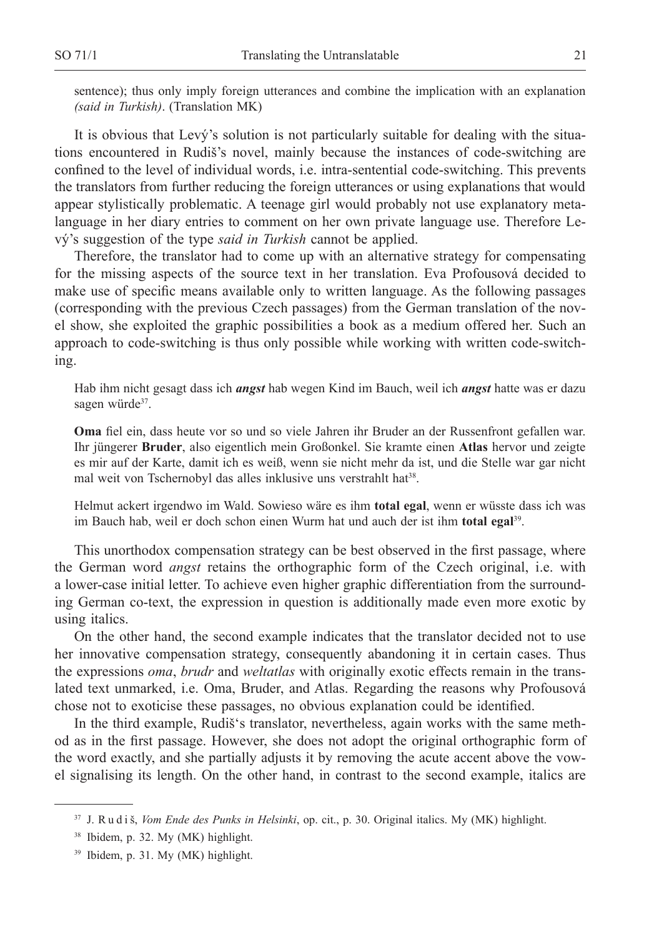sentence); thus only imply foreign utterances and combine the implication with an explanation *(said in Turkish)*. (Translation MK)

It is obvious that Levý's solution is not particularly suitable for dealing with the situations encountered in Rudiš's novel, mainly because the instances of code-switching are confined to the level of individual words, i.e. intra-sentential code-switching. This prevents the translators from further reducing the foreign utterances or using explanations that would appear stylistically problematic. A teenage girl would probably not use explanatory metalanguage in her diary entries to comment on her own private language use. Therefore Levý's suggestion of the type *said in Turkish* cannot be applied.

Therefore, the translator had to come up with an alternative strategy for compensating for the missing aspects of the source text in her translation. Eva Profousová decided to make use of specific means available only to written language. As the following passages (corresponding with the previous Czech passages) from the German translation of the novel show, she exploited the graphic possibilities a book as a medium offered her. Such an approach to code-switching is thus only possible while working with written code-switching.

Hab ihm nicht gesagt dass ich *angst* hab wegen Kind im Bauch, weil ich *angst* hatte was er dazu sagen würde<sup>37</sup>.

**Oma** fiel ein, dass heute vor so und so viele Jahren ihr Bruder an der Russenfront gefallen war. Ihr jüngerer **Bruder**, also eigentlich mein Großonkel. Sie kramte einen **Atlas** hervor und zeigte es mir auf der Karte, damit ich es weiß, wenn sie nicht mehr da ist, und die Stelle war gar nicht mal weit von Tschernobyl das alles inklusive uns verstrahlt hat<sup>38</sup>.

Helmut ackert irgendwo im Wald. Sowieso wäre es ihm **total egal**, wenn er wüsste dass ich was im Bauch hab, weil er doch schon einen Wurm hat und auch der ist ihm **total egal**39.

This unorthodox compensation strategy can be best observed in the first passage, where the German word *angst* retains the orthographic form of the Czech original, i.e. with a lower-case initial letter. To achieve even higher graphic differentiation from the surrounding German co-text, the expression in question is additionally made even more exotic by using italics.

On the other hand, the second example indicates that the translator decided not to use her innovative compensation strategy, consequently abandoning it in certain cases. Thus the expressions *oma*, *brudr* and *weltatlas* with originally exotic effects remain in the translated text unmarked, i.e. Oma, Bruder, and Atlas. Regarding the reasons why Profousová chose not to exoticise these passages, no obvious explanation could be identified.

In the third example, Rudiš's translator, nevertheless, again works with the same method as in the first passage. However, she does not adopt the original orthographic form of the word exactly, and she partially adjusts it by removing the acute accent above the vowel signalising its length. On the other hand, in contrast to the second example, italics are

<sup>37</sup> J. R u d i š, *Vom Ende des Punks in Helsinki*, op. cit., p. 30. Original italics. My (MK) highlight.

<sup>38</sup> Ibidem, p. 32. My (MK) highlight.

<sup>39</sup> Ibidem, p. 31. My (MK) highlight.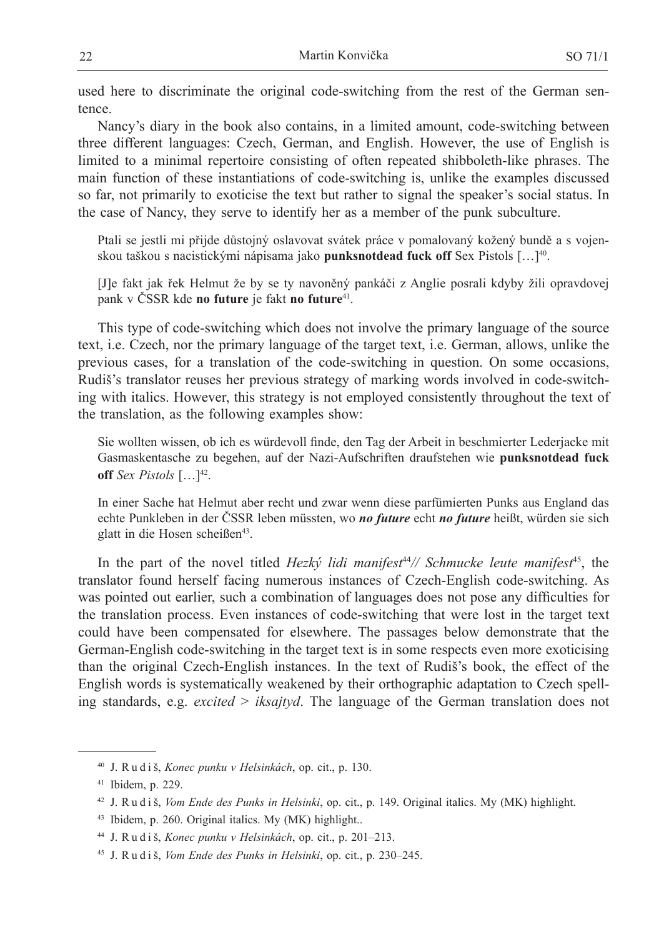used here to discriminate the original code-switching from the rest of the German sentence.

Nancy's diary in the book also contains, in a limited amount, code-switching between three different languages: Czech, German, and English. However, the use of English is limited to a minimal repertoire consisting of often repeated shibboleth-like phrases. The main function of these instantiations of code-switching is, unlike the examples discussed so far, not primarily to exoticise the text but rather to signal the speaker's social status. In the case of Nancy, they serve to identify her as a member of the punk subculture.

Ptali se jestli mi přijde důstojný oslavovat svátek práce v pomalovaný kožený bundě a s vojenskou taškou s nacistickými nápisama jako **punksnotdead fuck off** Sex Pistols […]40.

[J]e fakt jak řek Helmut že by se ty navoněný pankáči z Anglie posrali kdyby žili opravdovej pank v ČSSR kde **no future** je fakt **no future**41.

This type of code-switching which does not involve the primary language of the source text, i.e. Czech, nor the primary language of the target text, i.e. German, allows, unlike the previous cases, for a translation of the code-switching in question. On some occasions, Rudiš's translator reuses her previous strategy of marking words involved in code-switching with italics. However, this strategy is not employed consistently throughout the text of the translation, as the following examples show:

Sie wollten wissen, ob ich es würdevoll finde, den Tag der Arbeit in beschmierter Lederjacke mit Gasmaskentasche zu begehen, auf der Nazi-Aufschriften draufstehen wie **punksnotdead fuck off** *Sex Pistols*  $[\dots]^{42}$ .

In einer Sache hat Helmut aber recht und zwar wenn diese parfümierten Punks aus England das echte Punkleben in der ČSSR leben müssten, wo *no future* echt *no future* heißt, würden sie sich glatt in die Hosen scheißen<sup>43</sup>.

In the part of the novel titled *Hezký lidi manifest*<sup>44</sup>*// Schmucke leute manifest*45, the translator found herself facing numerous instances of Czech-English code-switching. As was pointed out earlier, such a combination of languages does not pose any difficulties for the translation process. Even instances of code-switching that were lost in the target text could have been compensated for elsewhere. The passages below demonstrate that the German-English code-switching in the target text is in some respects even more exoticising than the original Czech-English instances. In the text of Rudiš's book, the effect of the English words is systematically weakened by their orthographic adaptation to Czech spelling standards, e.g. *excited* > *iksajtyd*. The language of the German translation does not

<sup>40</sup> J. R u d i š, *Konec punku v Helsinkách*, op. cit., p. 130.

<sup>41</sup> Ibidem, p. 229.

<sup>42</sup> J. R u d i š, *Vom Ende des Punks in Helsinki*, op. cit., p. 149. Original italics. My (MK) highlight.

<sup>43</sup> Ibidem, p. 260. Original italics. My (MK) highlight..

<sup>44</sup> J. R u d i š, *Konec punku v Helsinkách*, op. cit., p. 201–213.

<sup>45</sup> J. R u d i š, *Vom Ende des Punks in Helsinki*, op. cit., p. 230–245.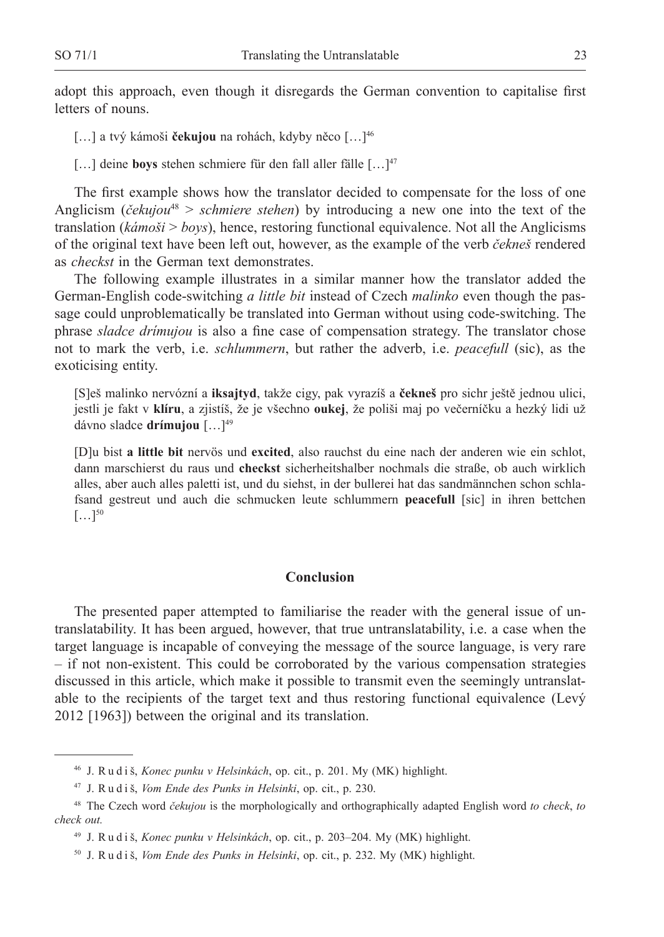adopt this approach, even though it disregards the German convention to capitalise first letters of nouns.

[…] a tvý kámoši **čekujou** na rohách, kdyby něco […]46

[...] deine **boys** stehen schmiere für den fall aller fälle [...]<sup>47</sup>

The first example shows how the translator decided to compensate for the loss of one Anglicism (*čekujou*<sup>48</sup> > *schmiere stehen*) by introducing a new one into the text of the translation (*kámoši* > *boys*), hence, restoring functional equivalence. Not all the Anglicisms of the original text have been left out, however, as the example of the verb *čekneš* rendered as *checkst* in the German text demonstrates.

The following example illustrates in a similar manner how the translator added the German-English code-switching *a little bit* instead of Czech *malinko* even though the passage could unproblematically be translated into German without using code-switching. The phrase *sladce drímujou* is also a fine case of compensation strategy. The translator chose not to mark the verb, i.e. *schlummern*, but rather the adverb, i.e. *peacefull* (sic), as the exoticising entity.

[S]eš malinko nervózní a **iksajtyd**, takže cigy, pak vyrazíš a **čekneš** pro sichr ještě jednou ulici, jestli je fakt v **klíru**, a zjistíš, že je všechno **oukej**, že poliši maj po večerníčku a hezký lidi už dávno sladce **drímujou** […]49

[D]u bist **a little bit** nervös und **excited**, also rauchst du eine nach der anderen wie ein schlot, dann marschierst du raus und **checkst** sicherheitshalber nochmals die straße, ob auch wirklich alles, aber auch alles paletti ist, und du siehst, in der bullerei hat das sandmännchen schon schlafsand gestreut und auch die schmucken leute schlummern **peacefull** [sic] in ihren bettchen  $[\ldots]^{50}$ 

### **Conclusion**

The presented paper attempted to familiarise the reader with the general issue of untranslatability. It has been argued, however, that true untranslatability, i.e. a case when the target language is incapable of conveying the message of the source language, is very rare – if not non-existent. This could be corroborated by the various compensation strategies discussed in this article, which make it possible to transmit even the seemingly untranslatable to the recipients of the target text and thus restoring functional equivalence (Levý 2012 [1963]) between the original and its translation.

<sup>46</sup> J. R u d i š, *Konec punku v Helsinkách*, op. cit., p. 201. My (MK) highlight.

<sup>47</sup> J. R u d i š, *Vom Ende des Punks in Helsinki*, op. cit., p. 230.

<sup>48</sup> The Czech word *čekujou* is the morphologically and orthographically adapted English word *to check*, *to check out.*

<sup>49</sup> J. R u d i š, *Konec punku v Helsinkách*, op. cit., p. 203–204. My (MK) highlight.

<sup>50</sup> J. R u d i š, *Vom Ende des Punks in Helsinki*, op. cit., p. 232. My (MK) highlight.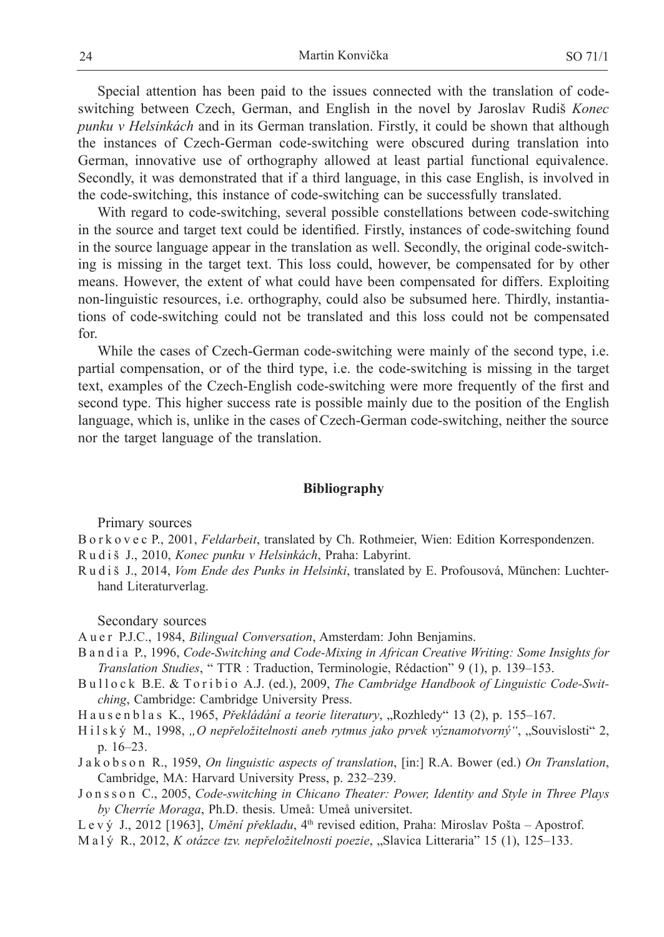Special attention has been paid to the issues connected with the translation of codeswitching between Czech, German, and English in the novel by Jaroslav Rudiš *Konec punku v Helsinkách* and in its German translation. Firstly, it could be shown that although the instances of Czech-German code-switching were obscured during translation into German, innovative use of orthography allowed at least partial functional equivalence. Secondly, it was demonstrated that if a third language, in this case English, is involved in the code-switching, this instance of code-switching can be successfully translated.

With regard to code-switching, several possible constellations between code-switching in the source and target text could be identified. Firstly, instances of code-switching found in the source language appear in the translation as well. Secondly, the original code-switching is missing in the target text. This loss could, however, be compensated for by other means. However, the extent of what could have been compensated for differs. Exploiting non-linguistic resources, i.e. orthography, could also be subsumed here. Thirdly, instantiations of code-switching could not be translated and this loss could not be compensated for.

While the cases of Czech-German code-switching were mainly of the second type, i.e. partial compensation, or of the third type, i.e. the code-switching is missing in the target text, examples of the Czech-English code-switching were more frequently of the first and second type. This higher success rate is possible mainly due to the position of the English language, which is, unlike in the cases of Czech-German code-switching, neither the source nor the target language of the translation.

### **Bibliography**

Primary sources

- B o r k o v e c P., 2001, *Feldarbeit*, translated by Ch. Rothmeier, Wien: Edition Korrespondenzen.
- R u d i š J., 2010, *Konec punku v Helsinkách*, Praha: Labyrint.
- R u d i š J., 2014, *Vom Ende des Punks in Helsinki*, translated by E. Profousová, München: Luchterhand Literaturverlag.

Secondary sources

- A u e r P.J.C., 1984, *Bilingual Conversation*, Amsterdam: John Benjamins.
- B a n d i a P., 1996, *Code-Switching and Code-Mixing in African Creative Writing: Some Insights for Translation Studies*, " TTR : Traduction, Terminologie, Rédaction" 9 (1), p. 139–153.
- Bullock B.E. & Toribio A.J. (ed.), 2009, *The Cambridge Handbook of Linguistic Code-Switching*, Cambridge: Cambridge University Press.
- Hausenblas K., 1965, *Překládání a teorie literatury*, "Rozhledy" 13 (2), p. 155–167.
- H i l s k ý M., 1998, "O nepřeložitelnosti aneb rytmus jako prvek významotvorný", "Souvislosti" 2, p. 16–23.
- J a k o b s o n R., 1959, *On linguistic aspects of translation*, [in:] R.A. Bower (ed.) *On Translation*, Cambridge, MA: Harvard University Press, p. 232–239.

J o n s s o n C., 2005, *Code-switching in Chicano Theater: Power, Identity and Style in Three Plays by Cherríe Moraga*, Ph.D. thesis. Umeå: Umeå universitet.

- L e v ý J., 2012 [1963], *Umění překladu*, 4<sup>th</sup> revised edition, Praha: Miroslav Pošta Apostrof.
- M a l ý R., 2012, *K otázce tzv. nepřeložitelnosti poezie*, "Slavica Litteraria" 15 (1), 125–133.